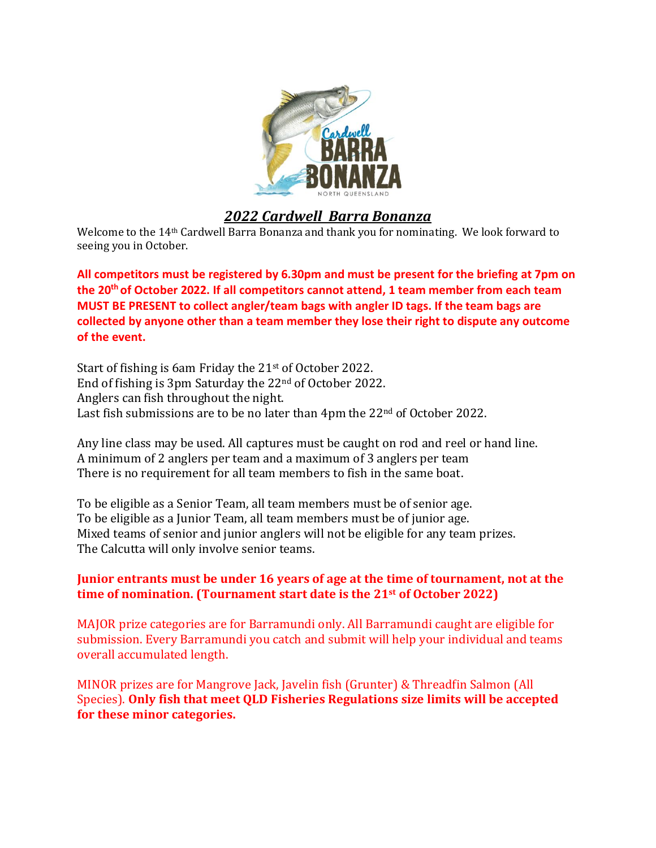

# *2022 Cardwell Barra Bonanza*

Welcome to the 14th Cardwell Barra Bonanza and thank you for nominating. We look forward to seeing you in October.

**All competitors must be registered by 6.30pm and must be present for the briefing at 7pm on the 20 th of October 2022. If all competitors cannot attend, 1 team member from each team MUST BE PRESENT to collect angler/team bags with angler ID tags. If the team bags are collected by anyone other than a team member they lose their right to dispute any outcome of the event.**

Start of fishing is 6am Friday the 21st of October 2022. End of fishing is 3pm Saturday the 22nd of October 2022. Anglers can fish throughout the night. Last fish submissions are to be no later than 4pm the 22<sup>nd</sup> of October 2022.

Any line class may be used. All captures must be caught on rod and reel or hand line. A minimum of 2 anglers per team and a maximum of 3 anglers per team There is no requirement for all team members to fish in the same boat.

To be eligible as a Senior Team, all team members must be of senior age. To be eligible as a Junior Team, all team members must be of junior age. Mixed teams of senior and junior anglers will not be eligible for any team prizes. The Calcutta will only involve senior teams.

### **Junior entrants must be under 16 years of age at the time of tournament, not at the time of nomination. (Tournament start date is the 21st of October 2022)**

MAJOR prize categories are for Barramundi only. All Barramundi caught are eligible for submission. Every Barramundi you catch and submit will help your individual and teams overall accumulated length.

MINOR prizes are for Mangrove Jack, Javelin fish (Grunter) & Threadfin Salmon (All Species). **Only fish that meet QLD Fisheries Regulations size limits will be accepted for these minor categories.**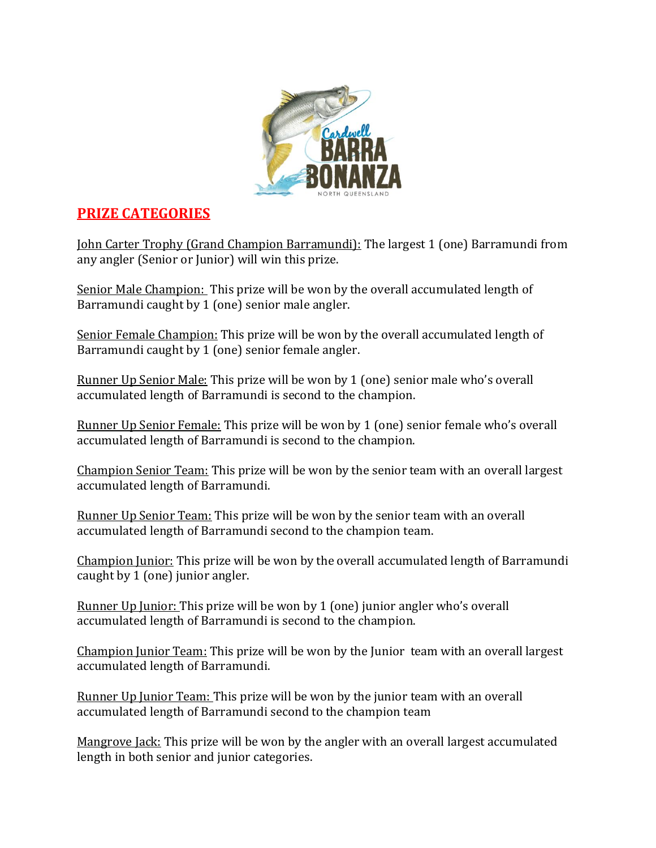

# **PRIZE CATEGORIES**

John Carter Trophy (Grand Champion Barramundi): The largest 1 (one) Barramundi from any angler (Senior or Junior) will win this prize.

Senior Male Champion: This prize will be won by the overall accumulated length of Barramundi caught by 1 (one) senior male angler.

Senior Female Champion: This prize will be won by the overall accumulated length of Barramundi caught by 1 (one) senior female angler.

Runner Up Senior Male: This prize will be won by 1 (one) senior male who's overall accumulated length of Barramundi is second to the champion.

Runner Up Senior Female: This prize will be won by 1 (one) senior female who's overall accumulated length of Barramundi is second to the champion.

Champion Senior Team: This prize will be won by the senior team with an overall largest accumulated length of Barramundi.

Runner Up Senior Team: This prize will be won by the senior team with an overall accumulated length of Barramundi second to the champion team.

Champion Junior: This prize will be won by the overall accumulated length of Barramundi caught by 1 (one) junior angler.

Runner Up Junior: This prize will be won by 1 (one) junior angler who's overall accumulated length of Barramundi is second to the champion.

Champion Junior Team: This prize will be won by the Junior team with an overall largest accumulated length of Barramundi.

Runner Up Junior Team: This prize will be won by the junior team with an overall accumulated length of Barramundi second to the champion team

Mangrove Jack: This prize will be won by the angler with an overall largest accumulated length in both senior and junior categories.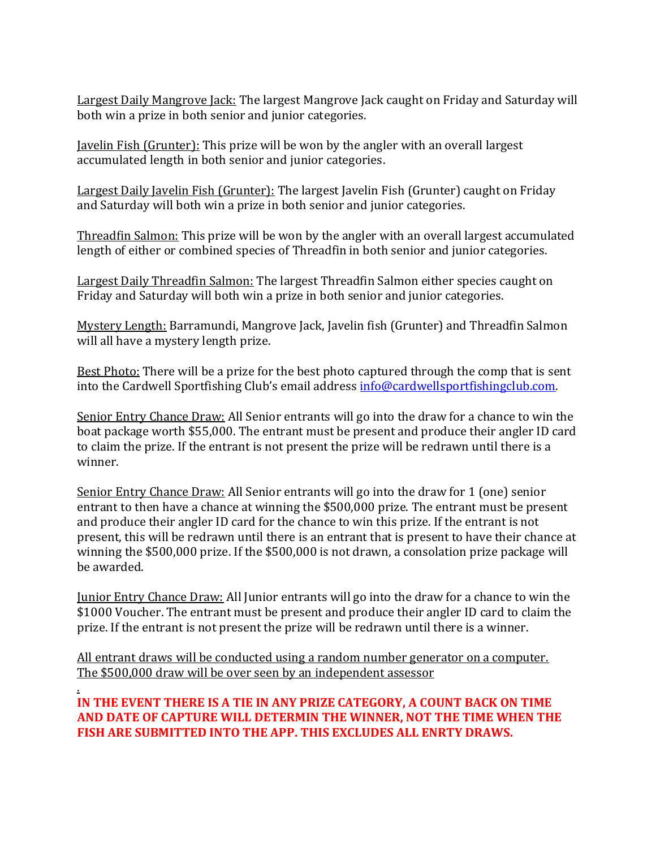Largest Daily Mangrove Jack: The largest Mangrove Jack caught on Friday and Saturday will both win a prize in both senior and junior categories.

Javelin Fish (Grunter): This prize will be won by the angler with an overall largest accumulated length in both senior and junior categories.

Largest Daily Javelin Fish (Grunter): The largest Javelin Fish (Grunter) caught on Friday and Saturday will both win a prize in both senior and junior categories.

Threadfin Salmon: This prize will be won by the angler with an overall largest accumulated length of either or combined species of Threadfin in both senior and junior categories.

Largest Daily Threadfin Salmon: The largest Threadfin Salmon either species caught on Friday and Saturday will both win a prize in both senior and junior categories.

Mystery Length: Barramundi, Mangrove Jack, Javelin fish (Grunter) and Threadfin Salmon will all have a mystery length prize.

Best Photo: There will be a prize for the best photo captured through the comp that is sent into the Cardwell Sportfishing Club's email addres[s info@cardwellsportfishingclub.com.](mailto:info@cardwellsportfishingclub.com)

Senior Entry Chance Draw: All Senior entrants will go into the draw for a chance to win the boat package worth \$55,000. The entrant must be present and produce their angler ID card to claim the prize. If the entrant is not present the prize will be redrawn until there is a winner.

Senior Entry Chance Draw: All Senior entrants will go into the draw for 1 (one) senior entrant to then have a chance at winning the \$500,000 prize. The entrant must be present and produce their angler ID card for the chance to win this prize. If the entrant is not present, this will be redrawn until there is an entrant that is present to have their chance at winning the \$500,000 prize. If the \$500,000 is not drawn, a consolation prize package will be awarded.

Junior Entry Chance Draw: All Junior entrants will go into the draw for a chance to win the \$1000 Voucher. The entrant must be present and produce their angler ID card to claim the prize. If the entrant is not present the prize will be redrawn until there is a winner.

All entrant draws will be conducted using a random number generator on a computer. The \$500,000 draw will be over seen by an independent assessor

. **IN THE EVENT THERE IS A TIE IN ANY PRIZE CATEGORY, A COUNT BACK ON TIME AND DATE OF CAPTURE WILL DETERMIN THE WINNER, NOT THE TIME WHEN THE FISH ARE SUBMITTED INTO THE APP. THIS EXCLUDES ALL ENRTY DRAWS.**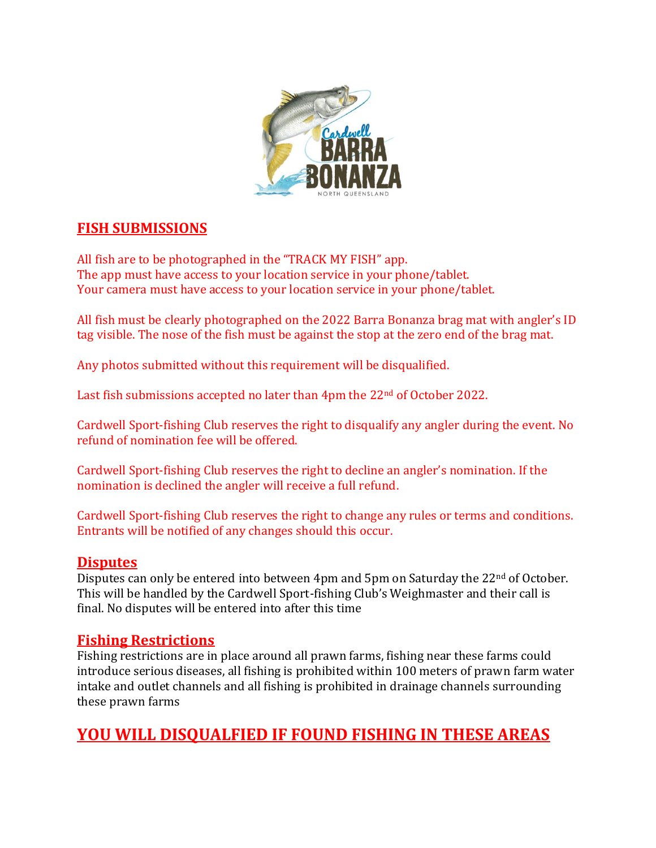

### **FISH SUBMISSIONS**

All fish are to be photographed in the "TRACK MY FISH" app. The app must have access to your location service in your phone/tablet. Your camera must have access to your location service in your phone/tablet.

All fish must be clearly photographed on the 2022 Barra Bonanza brag mat with angler's ID tag visible. The nose of the fish must be against the stop at the zero end of the brag mat.

Any photos submitted without this requirement will be disqualified.

Last fish submissions accepted no later than 4pm the 22<sup>nd</sup> of October 2022.

Cardwell Sport-fishing Club reserves the right to disqualify any angler during the event. No refund of nomination fee will be offered.

Cardwell Sport-fishing Club reserves the right to decline an angler's nomination. If the nomination is declined the angler will receive a full refund.

Cardwell Sport-fishing Club reserves the right to change any rules or terms and conditions. Entrants will be notified of any changes should this occur.

### **Disputes**

Disputes can only be entered into between 4pm and 5pm on Saturday the 22<sup>nd</sup> of October. This will be handled by the Cardwell Sport-fishing Club's Weighmaster and their call is final. No disputes will be entered into after this time

### **Fishing Restrictions**

Fishing restrictions are in place around all prawn farms, fishing near these farms could introduce serious diseases, all fishing is prohibited within 100 meters of prawn farm water intake and outlet channels and all fishing is prohibited in drainage channels surrounding these prawn farms

# **YOU WILL DISQUALFIED IF FOUND FISHING IN THESE AREAS**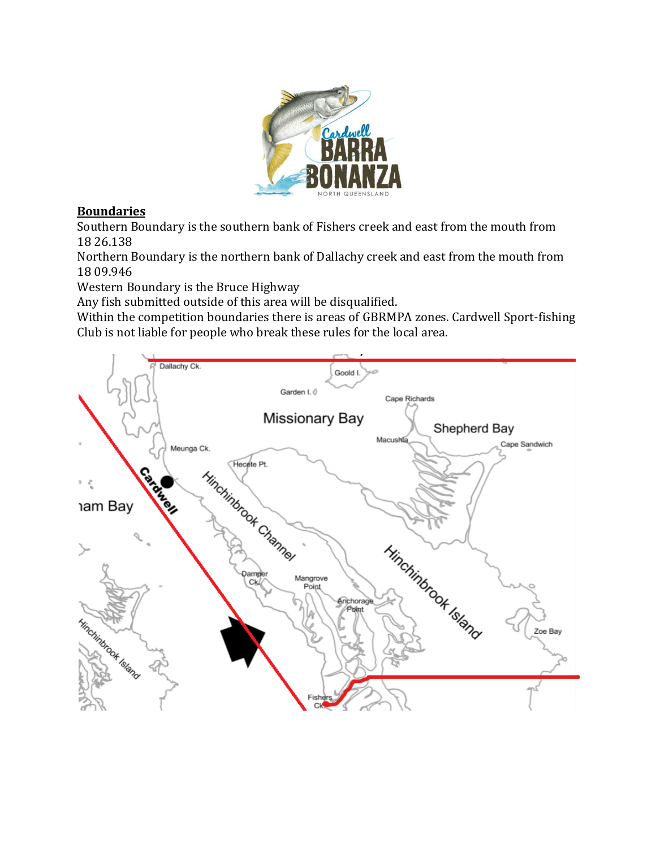

### **Boundaries**

Southern Boundary is the southern bank of Fishers creek and east from the mouth from 18 26.138

Northern Boundary is the northern bank of Dallachy creek and east from the mouth from 18 09.946

Western Boundary is the Bruce Highway

Any fish submitted outside of this area will be disqualified.

Within the competition boundaries there is areas of GBRMPA zones. Cardwell Sport-fishing Club is not liable for people who break these rules for the local area.

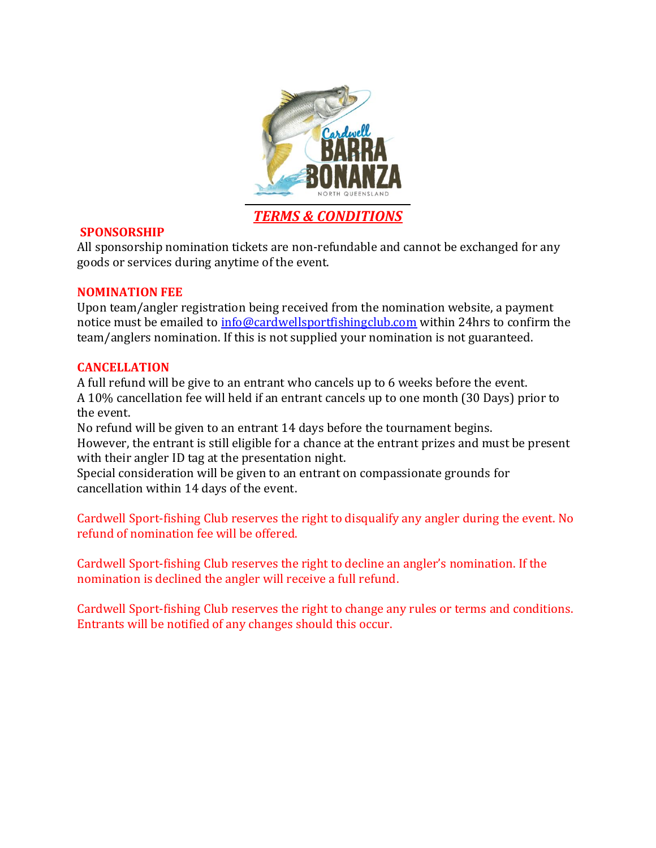

#### **SPONSORSHIP**

All sponsorship nomination tickets are non-refundable and cannot be exchanged for any goods or services during anytime of the event.

#### **NOMINATION FEE**

Upon team/angler registration being received from the nomination website, a payment notice must be emailed to [info@cardwellsportfishingclub.com](mailto:info@cardwellsportfishingclub.com) within 24hrs to confirm the team/anglers nomination. If this is not supplied your nomination is not guaranteed.

#### **CANCELLATION**

A full refund will be give to an entrant who cancels up to 6 weeks before the event. A 10% cancellation fee will held if an entrant cancels up to one month (30 Days) prior to the event.

No refund will be given to an entrant 14 days before the tournament begins. However, the entrant is still eligible for a chance at the entrant prizes and must be present with their angler ID tag at the presentation night.

Special consideration will be given to an entrant on compassionate grounds for cancellation within 14 days of the event.

Cardwell Sport-fishing Club reserves the right to disqualify any angler during the event. No refund of nomination fee will be offered.

Cardwell Sport-fishing Club reserves the right to decline an angler's nomination. If the nomination is declined the angler will receive a full refund.

Cardwell Sport-fishing Club reserves the right to change any rules or terms and conditions. Entrants will be notified of any changes should this occur.